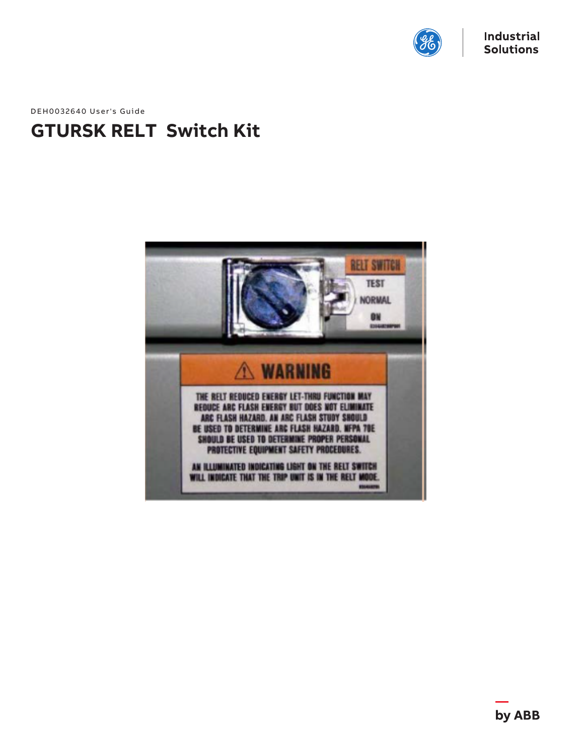

DEH0032640 User's Guide

# **GTURSK RELT Switch Kit**

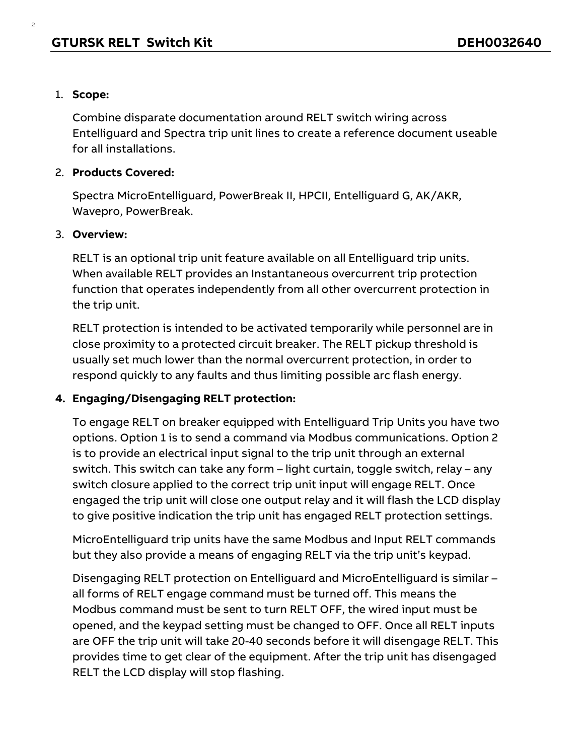#### 1. **Scope:**

2

Combine disparate documentation around RELT switch wiring across Entelliguard and Spectra trip unit lines to create a reference document useable for all installations.

#### 2. **Products Covered:**

Spectra MicroEntelliguard, PowerBreak II, HPCII, Entelliguard G, AK/AKR, Wavepro, PowerBreak.

#### 3. **Overview:**

RELT is an optional trip unit feature available on all Entelliguard trip units. When available RELT provides an Instantaneous overcurrent trip protection function that operates independently from all other overcurrent protection in the trip unit.

RELT protection is intended to be activated temporarily while personnel are in close proximity to a protected circuit breaker. The RELT pickup threshold is usually set much lower than the normal overcurrent protection, in order to respond quickly to any faults and thus limiting possible arc flash energy.

#### **4. Engaging/Disengaging RELT protection:**

To engage RELT on breaker equipped with Entelliguard Trip Units you have two options. Option 1 is to send a command via Modbus communications. Option 2 is to provide an electrical input signal to the trip unit through an external switch. This switch can take any form – light curtain, toggle switch, relay – any switch closure applied to the correct trip unit input will engage RELT. Once engaged the trip unit will close one output relay and it will flash the LCD display to give positive indication the trip unit has engaged RELT protection settings.

MicroEntelliguard trip units have the same Modbus and Input RELT commands but they also provide a means of engaging RELT via the trip unit's keypad.

Disengaging RELT protection on Entelliguard and MicroEntelliguard is similar – all forms of RELT engage command must be turned off. This means the Modbus command must be sent to turn RELT OFF, the wired input must be opened, and the keypad setting must be changed to OFF. Once all RELT inputs are OFF the trip unit will take 20-40 seconds before it will disengage RELT. This provides time to get clear of the equipment. After the trip unit has disengaged RELT the LCD display will stop flashing.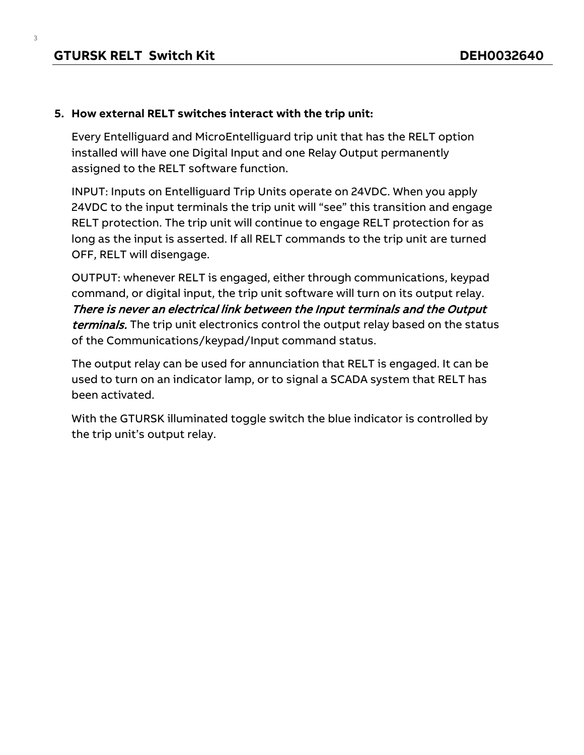#### **5. How external RELT switches interact with the trip unit:**

Every Entelliguard and MicroEntelliguard trip unit that has the RELT option installed will have one Digital Input and one Relay Output permanently assigned to the RELT software function.

INPUT: Inputs on Entelliguard Trip Units operate on 24VDC. When you apply 24VDC to the input terminals the trip unit will "see" this transition and engage RELT protection. The trip unit will continue to engage RELT protection for as long as the input is asserted. If all RELT commands to the trip unit are turned OFF, RELT will disengage.

OUTPUT: whenever RELT is engaged, either through communications, keypad command, or digital input, the trip unit software will turn on its output relay. There is never an electrical link between the Input terminals and the Output terminals. The trip unit electronics control the output relay based on the status of the Communications/keypad/Input command status.

The output relay can be used for annunciation that RELT is engaged. It can be used to turn on an indicator lamp, or to signal a SCADA system that RELT has been activated.

With the GTURSK illuminated toggle switch the blue indicator is controlled by the trip unit's output relay.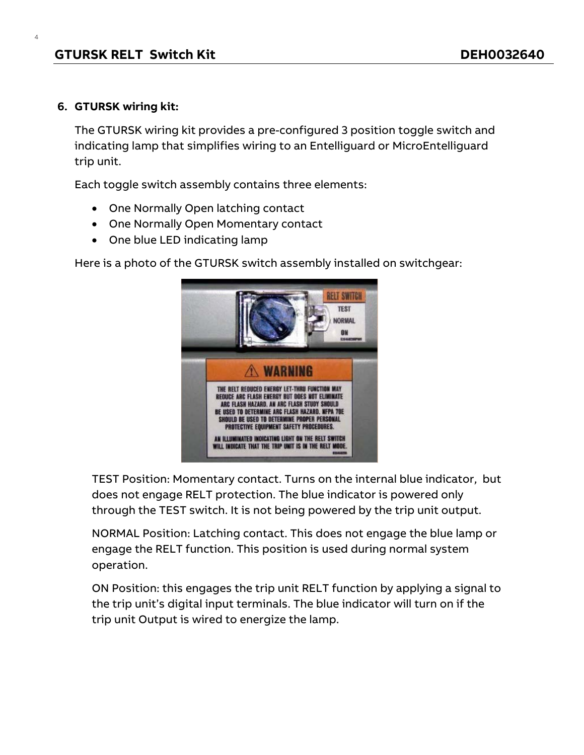#### **6. GTURSK wiring kit:**

4

The GTURSK wiring kit provides a pre-configured 3 position toggle switch and indicating lamp that simplifies wiring to an Entelliguard or MicroEntelliguard trip unit.

Each toggle switch assembly contains three elements:

- One Normally Open latching contact
- One Normally Open Momentary contact
- One blue LED indicating lamp

Here is a photo of the GTURSK switch assembly installed on switchgear:



TEST Position: Momentary contact. Turns on the internal blue indicator, but does not engage RELT protection. The blue indicator is powered only through the TEST switch. It is not being powered by the trip unit output.

NORMAL Position: Latching contact. This does not engage the blue lamp or engage the RELT function. This position is used during normal system operation.

ON Position: this engages the trip unit RELT function by applying a signal to the trip unit's digital input terminals. The blue indicator will turn on if the trip unit Output is wired to energize the lamp.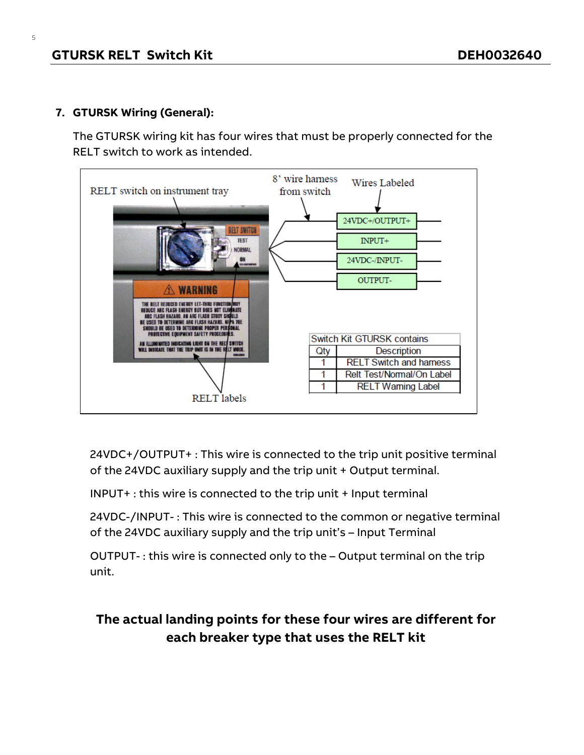## **7. GTURSK Wiring (General):**

The GTURSK wiring kit has four wires that must be properly connected for the RELT switch to work as intended.



24VDC+/OUTPUT+ : This wire is connected to the trip unit positive terminal of the 24VDC auxiliary supply and the trip unit + Output terminal.

INPUT+ : this wire is connected to the trip unit + Input terminal

24VDC-/INPUT- : This wire is connected to the common or negative terminal of the 24VDC auxiliary supply and the trip unit's – Input Terminal

OUTPUT- : this wire is connected only to the – Output terminal on the trip unit.

# **The actual landing points for these four wires are different for each breaker type that uses the RELT kit**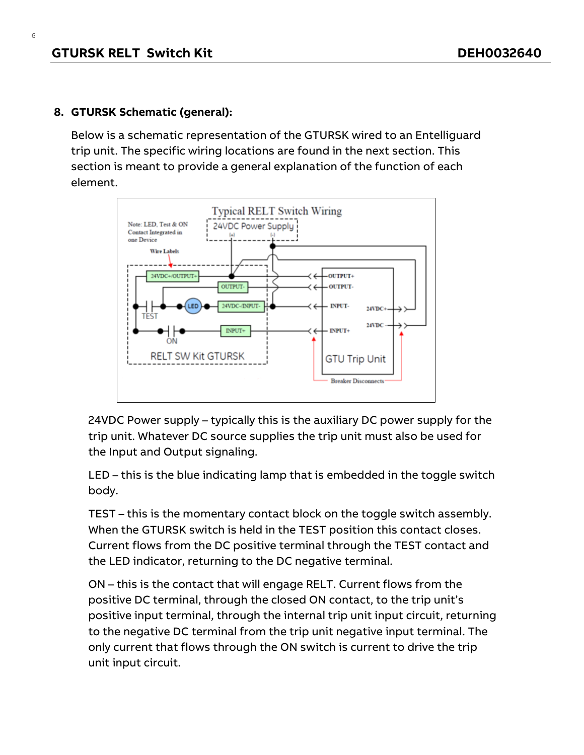### **8. GTURSK Schematic (general):**

Below is a schematic representation of the GTURSK wired to an Entelliguard trip unit. The specific wiring locations are found in the next section. This section is meant to provide a general explanation of the function of each element.



24VDC Power supply – typically this is the auxiliary DC power supply for the trip unit. Whatever DC source supplies the trip unit must also be used for the Input and Output signaling.

LED – this is the blue indicating lamp that is embedded in the toggle switch body.

TEST – this is the momentary contact block on the toggle switch assembly. When the GTURSK switch is held in the TEST position this contact closes. Current flows from the DC positive terminal through the TEST contact and the LED indicator, returning to the DC negative terminal.

ON – this is the contact that will engage RELT. Current flows from the positive DC terminal, through the closed ON contact, to the trip unit's positive input terminal, through the internal trip unit input circuit, returning to the negative DC terminal from the trip unit negative input terminal. The only current that flows through the ON switch is current to drive the trip unit input circuit.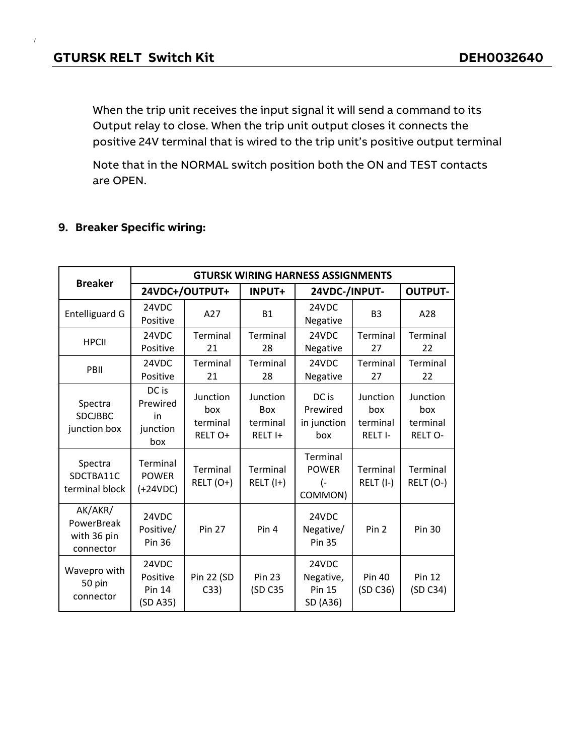When the trip unit receives the input signal it will send a command to its Output relay to close. When the trip unit output closes it connects the positive 24V terminal that is wired to the trip unit's positive output terminal

Note that in the NORMAL switch position both the ON and TEST contacts are OPEN.

# **9. Breaker Specific wiring:**

| <b>Breaker</b>                                    | <b>GTURSK WIRING HARNESS ASSIGNMENTS</b>       |                                        |                                                          |                                                 |                                        |                                               |
|---------------------------------------------------|------------------------------------------------|----------------------------------------|----------------------------------------------------------|-------------------------------------------------|----------------------------------------|-----------------------------------------------|
|                                                   | 24VDC+/OUTPUT+                                 |                                        | <b>INPUT+</b>                                            | 24VDC-/INPUT-                                   |                                        | <b>OUTPUT-</b>                                |
| <b>Entelliguard G</b>                             | 24VDC<br>Positive                              | A27                                    | <b>B1</b>                                                | 24VDC<br>Negative                               | B <sub>3</sub>                         | A28                                           |
| <b>HPCII</b>                                      | 24VDC<br>Positive                              | Terminal<br>21                         | Terminal<br>28                                           | 24VDC<br>Negative                               | Terminal<br>27                         | Terminal<br>22                                |
| PBII                                              | 24VDC<br>Positive                              | <b>Terminal</b><br>21                  | <b>Terminal</b><br>28                                    | 24VDC<br>Negative                               | Terminal<br>27                         | Terminal<br>22                                |
| Spectra<br><b>SDCJBBC</b><br>junction box         | DC is<br>Prewired<br>in<br>junction<br>box     | Junction<br>box<br>terminal<br>RELT O+ | Junction<br><b>Box</b><br>terminal<br>RELT <sub>I+</sub> | DC is<br>Prewired<br>in junction<br>box         | Junction<br>box<br>terminal<br>RELT I- | Junction<br>box<br>terminal<br><b>RELT O-</b> |
| Spectra<br>SDCTBA11C<br>terminal block            | Terminal<br><b>POWER</b><br>$(+24VDC)$         | Terminal<br>$RELT(O+)$                 | Terminal<br>$RELT (I+)$                                  | Terminal<br><b>POWER</b><br>(-<br>COMMON)       | Terminal<br>$RELT (I-)$                | Terminal<br>RELT (O-)                         |
| AK/AKR/<br>PowerBreak<br>with 36 pin<br>connector | 24VDC<br>Positive/<br><b>Pin 36</b>            | <b>Pin 27</b>                          | Pin 4                                                    | 24VDC<br>Negative/<br><b>Pin 35</b>             | Pin <sub>2</sub>                       | <b>Pin 30</b>                                 |
| Wavepro with<br>50 pin<br>connector               | 24VDC<br>Positive<br><b>Pin 14</b><br>(SD A35) | Pin 22 (SD<br>C33)                     | <b>Pin 23</b><br>(SD C35                                 | 24VDC<br>Negative,<br><b>Pin 15</b><br>SD (A36) | <b>Pin 40</b><br>(SD C36)              | <b>Pin 12</b><br>(SD C34)                     |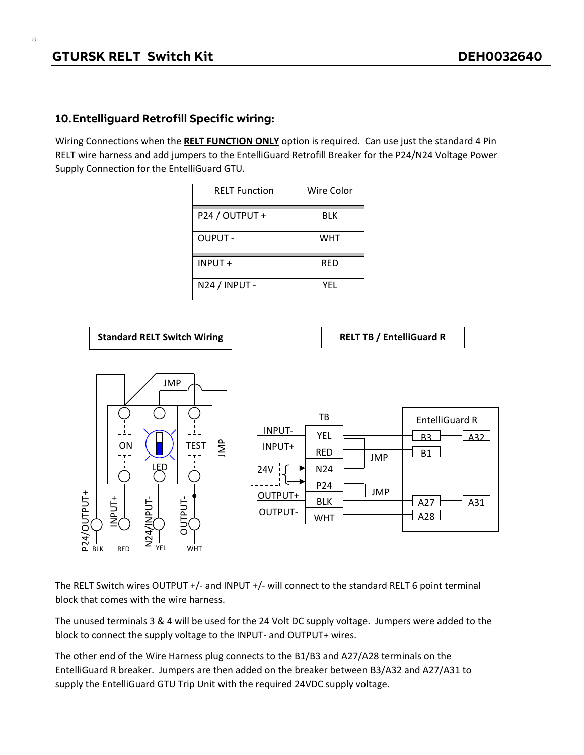#### **10.Entelliguard Retrofill Specific wiring:**

Wiring Connections when the **RELT FUNCTION ONLY** option is required. Can use just the standard 4 Pin RELT wire harness and add jumpers to the EntelliGuard Retrofill Breaker for the P24/N24 Voltage Power Supply Connection for the EntelliGuard GTU.

| <b>RELT Function</b> | Wire Color |
|----------------------|------------|
| P24 / OUTPUT +       | BLK        |
| <b>OUPUT -</b>       | <b>WHT</b> |
| INPUT +              | RED        |
| N24 / INPUT -        | YEL        |



The RELT Switch wires OUTPUT +/- and INPUT +/- will connect to the standard RELT 6 point terminal block that comes with the wire harness.

The unused terminals 3 & 4 will be used for the 24 Volt DC supply voltage. Jumpers were added to the block to connect the supply voltage to the INPUT- and OUTPUT+ wires.

The other end of the Wire Harness plug connects to the B1/B3 and A27/A28 terminals on the EntelliGuard R breaker. Jumpers are then added on the breaker between B3/A32 and A27/A31 to supply the EntelliGuard GTU Trip Unit with the required 24VDC supply voltage.